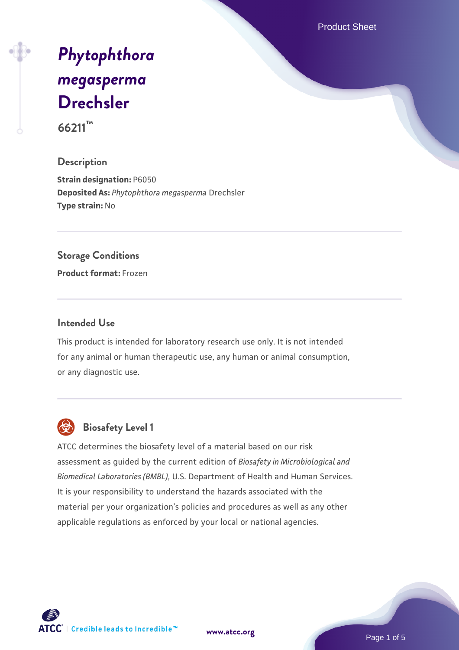Product Sheet

# *[Phytophthora](https://www.atcc.org/products/66211) [megasperma](https://www.atcc.org/products/66211)* **[Drechsler](https://www.atcc.org/products/66211)**

**66211™**

# **Description**

**Strain designation:** P6050 **Deposited As:** *Phytophthora megasperma* Drechsler **Type strain:** No

#### **Storage Conditions**

**Product format:** Frozen

## **Intended Use**

This product is intended for laboratory research use only. It is not intended for any animal or human therapeutic use, any human or animal consumption, or any diagnostic use.



# **Biosafety Level 1**

ATCC determines the biosafety level of a material based on our risk assessment as guided by the current edition of *Biosafety in Microbiological and Biomedical Laboratories (BMBL)*, U.S. Department of Health and Human Services. It is your responsibility to understand the hazards associated with the material per your organization's policies and procedures as well as any other applicable regulations as enforced by your local or national agencies.

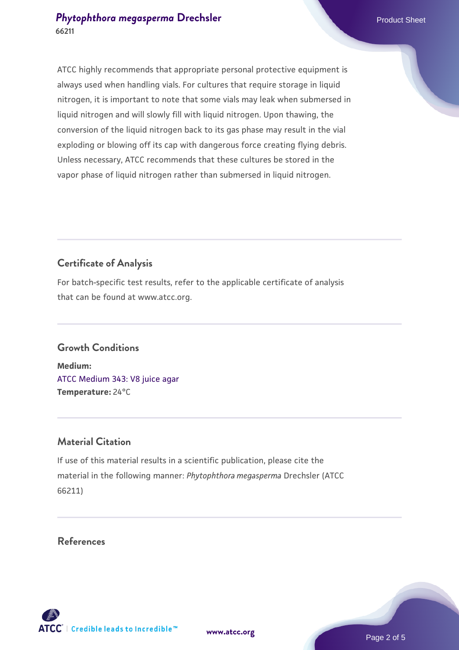# **[Phytophthora megasperma](https://www.atcc.org/products/66211) [Drechsler](https://www.atcc.org/products/66211)** Product Sheet **66211**

ATCC highly recommends that appropriate personal protective equipment is always used when handling vials. For cultures that require storage in liquid nitrogen, it is important to note that some vials may leak when submersed in liquid nitrogen and will slowly fill with liquid nitrogen. Upon thawing, the conversion of the liquid nitrogen back to its gas phase may result in the vial exploding or blowing off its cap with dangerous force creating flying debris. Unless necessary, ATCC recommends that these cultures be stored in the vapor phase of liquid nitrogen rather than submersed in liquid nitrogen.

# **Certificate of Analysis**

For batch-specific test results, refer to the applicable certificate of analysis that can be found at www.atcc.org.

# **Growth Conditions**

**Medium:**  [ATCC Medium 343: V8 juice agar](https://www.atcc.org/-/media/product-assets/documents/microbial-media-formulations/3/4/3/atcc-medium-0343.pdf?rev=fbf48fa24e664932828269db1822ab12) **Temperature:** 24°C

# **Material Citation**

If use of this material results in a scientific publication, please cite the material in the following manner: *Phytophthora megasperma* Drechsler (ATCC 66211)

**References**

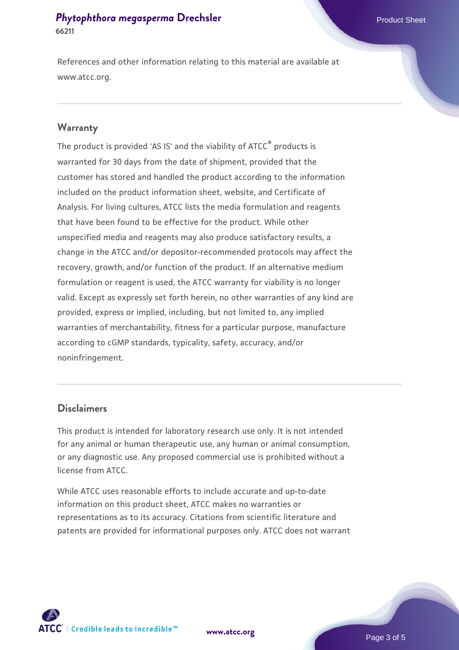# **[Phytophthora megasperma](https://www.atcc.org/products/66211) [Drechsler](https://www.atcc.org/products/66211)** Product Sheet **66211**

References and other information relating to this material are available at www.atcc.org.

#### **Warranty**

The product is provided 'AS IS' and the viability of ATCC® products is warranted for 30 days from the date of shipment, provided that the customer has stored and handled the product according to the information included on the product information sheet, website, and Certificate of Analysis. For living cultures, ATCC lists the media formulation and reagents that have been found to be effective for the product. While other unspecified media and reagents may also produce satisfactory results, a change in the ATCC and/or depositor-recommended protocols may affect the recovery, growth, and/or function of the product. If an alternative medium formulation or reagent is used, the ATCC warranty for viability is no longer valid. Except as expressly set forth herein, no other warranties of any kind are provided, express or implied, including, but not limited to, any implied warranties of merchantability, fitness for a particular purpose, manufacture according to cGMP standards, typicality, safety, accuracy, and/or noninfringement.

### **Disclaimers**

This product is intended for laboratory research use only. It is not intended for any animal or human therapeutic use, any human or animal consumption, or any diagnostic use. Any proposed commercial use is prohibited without a license from ATCC.

While ATCC uses reasonable efforts to include accurate and up-to-date information on this product sheet, ATCC makes no warranties or representations as to its accuracy. Citations from scientific literature and patents are provided for informational purposes only. ATCC does not warrant





Page 3 of 5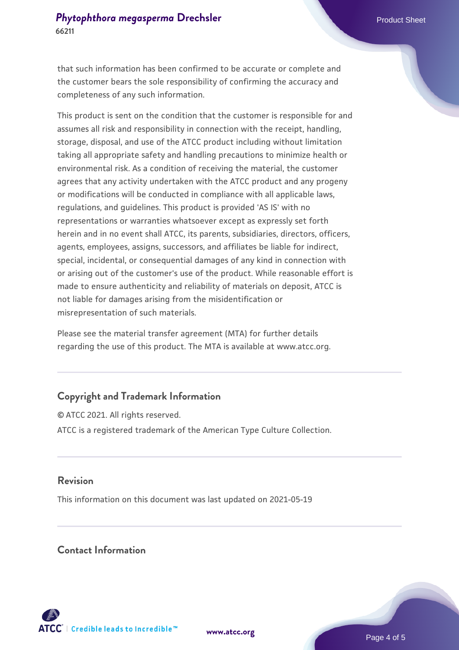that such information has been confirmed to be accurate or complete and the customer bears the sole responsibility of confirming the accuracy and completeness of any such information.

This product is sent on the condition that the customer is responsible for and assumes all risk and responsibility in connection with the receipt, handling, storage, disposal, and use of the ATCC product including without limitation taking all appropriate safety and handling precautions to minimize health or environmental risk. As a condition of receiving the material, the customer agrees that any activity undertaken with the ATCC product and any progeny or modifications will be conducted in compliance with all applicable laws, regulations, and guidelines. This product is provided 'AS IS' with no representations or warranties whatsoever except as expressly set forth herein and in no event shall ATCC, its parents, subsidiaries, directors, officers, agents, employees, assigns, successors, and affiliates be liable for indirect, special, incidental, or consequential damages of any kind in connection with or arising out of the customer's use of the product. While reasonable effort is made to ensure authenticity and reliability of materials on deposit, ATCC is not liable for damages arising from the misidentification or misrepresentation of such materials.

Please see the material transfer agreement (MTA) for further details regarding the use of this product. The MTA is available at www.atcc.org.

# **Copyright and Trademark Information**

© ATCC 2021. All rights reserved. ATCC is a registered trademark of the American Type Culture Collection.

## **Revision**

This information on this document was last updated on 2021-05-19

## **Contact Information**